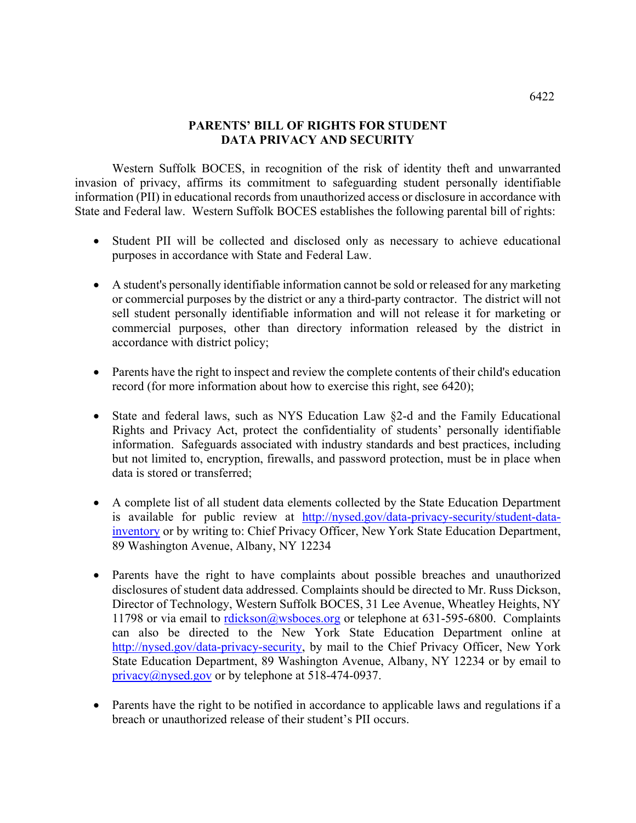## **PARENTS' BILL OF RIGHTS FOR STUDENT DATA PRIVACY AND SECURITY**

 Western Suffolk BOCES, in recognition of the risk of identity theft and unwarranted invasion of privacy, affirms its commitment to safeguarding student personally identifiable information (PII) in educational records from unauthorized access or disclosure in accordance with State and Federal law. Western Suffolk BOCES establishes the following parental bill of rights:

- Student PII will be collected and disclosed only as necessary to achieve educational purposes in accordance with State and Federal Law.
- A student's personally identifiable information cannot be sold or released for any marketing or commercial purposes by the district or any a third-party contractor. The district will not sell student personally identifiable information and will not release it for marketing or commercial purposes, other than directory information released by the district in accordance with district policy;
- Parents have the right to inspect and review the complete contents of their child's education record (for more information about how to exercise this right, see 6420);
- State and federal laws, such as NYS Education Law §2-d and the Family Educational Rights and Privacy Act, protect the confidentiality of students' personally identifiable information. Safeguards associated with industry standards and best practices, including but not limited to, encryption, firewalls, and password protection, must be in place when data is stored or transferred;
- A complete list of all student data elements collected by the State Education Department is available for public review at http://nysed.gov/data-privacy-security/student-datainventory or by writing to: Chief Privacy Officer, New York State Education Department, 89 Washington Avenue, Albany, NY 12234
- Parents have the right to have complaints about possible breaches and unauthorized disclosures of student data addressed. Complaints should be directed to Mr. Russ Dickson, Director of Technology, Western Suffolk BOCES, 31 Lee Avenue, Wheatley Heights, NY 11798 or via email to rdickson@wsboces.org or telephone at 631-595-6800.Complaints can also be directed to the New York State Education Department online at http://nysed.gov/data-privacy-security, by mail to the Chief Privacy Officer, New York State Education Department, 89 Washington Avenue, Albany, NY 12234 or by email to privacy $@n$  ysed.gov or by telephone at 518-474-0937.
- Parents have the right to be notified in accordance to applicable laws and regulations if a breach or unauthorized release of their student's PII occurs.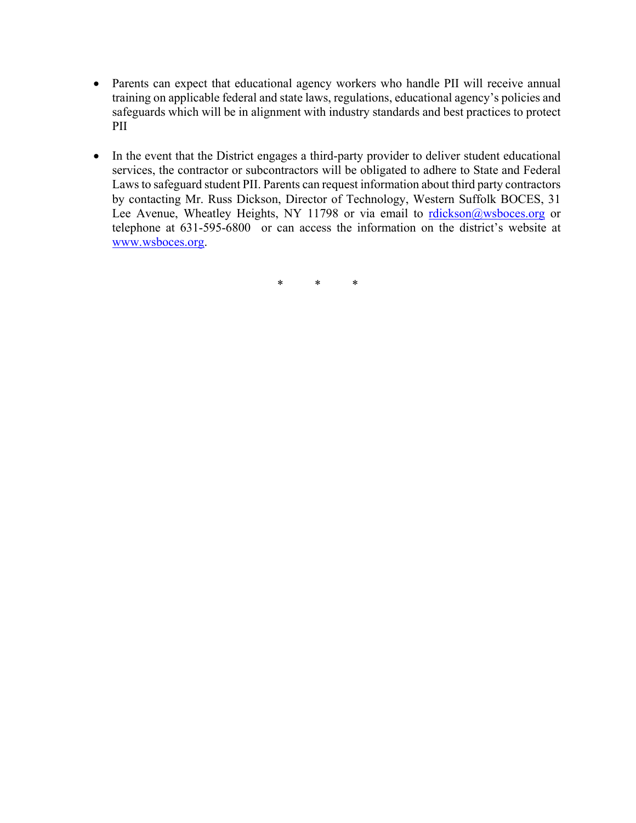- Parents can expect that educational agency workers who handle PII will receive annual training on applicable federal and state laws, regulations, educational agency's policies and safeguards which will be in alignment with industry standards and best practices to protect PII
- In the event that the District engages a third-party provider to deliver student educational services, the contractor or subcontractors will be obligated to adhere to State and Federal Laws to safeguard student PII. Parents can request information about third party contractors by contacting Mr. Russ Dickson, Director of Technology, Western Suffolk BOCES, 31 Lee Avenue, Wheatley Heights, NY 11798 or via email to rdickson@wsboces.org or telephone at 631-595-6800 or can access the information on the district's website at www.wsboces.org.

\* \* \*